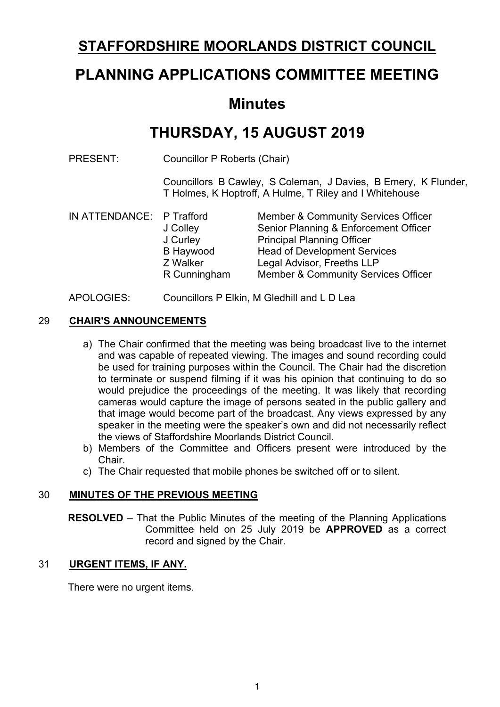## **STAFFORDSHIRE MOORLANDS DISTRICT COUNCIL**

# **PLANNING APPLICATIONS COMMITTEE MEETING**

### **Minutes**

# **THURSDAY, 15 AUGUST 2019**

PRESENT: Councillor P Roberts (Chair)

Councillors B Cawley, S Coleman, J Davies, B Emery, K Flunder, T Holmes, K Hoptroff, A Hulme, T Riley and I Whitehouse

| IN ATTENDANCE: P Trafford |              | <b>Member &amp; Community Services Officer</b> |  |  |
|---------------------------|--------------|------------------------------------------------|--|--|
|                           | J Colley     | Senior Planning & Enforcement Officer          |  |  |
|                           | J Curley     | <b>Principal Planning Officer</b>              |  |  |
|                           | B Haywood    | <b>Head of Development Services</b>            |  |  |
|                           | Z Walker     | Legal Advisor, Freeths LLP                     |  |  |
|                           | R Cunningham | <b>Member &amp; Community Services Officer</b> |  |  |
|                           |              |                                                |  |  |

#### APOLOGIES: Councillors P Elkin, M Gledhill and L D Lea

#### 29 **CHAIR'S ANNOUNCEMENTS**

- a) The Chair confirmed that the meeting was being broadcast live to the internet and was capable of repeated viewing. The images and sound recording could be used for training purposes within the Council. The Chair had the discretion to terminate or suspend filming if it was his opinion that continuing to do so would prejudice the proceedings of the meeting. It was likely that recording cameras would capture the image of persons seated in the public gallery and that image would become part of the broadcast. Any views expressed by any speaker in the meeting were the speaker's own and did not necessarily reflect the views of Staffordshire Moorlands District Council.
- b) Members of the Committee and Officers present were introduced by the Chair.
- c) The Chair requested that mobile phones be switched off or to silent.

#### 30 **MINUTES OF THE PREVIOUS MEETING**

**RESOLVED** – That the Public Minutes of the meeting of the Planning Applications Committee held on 25 July 2019 be **APPROVED** as a correct record and signed by the Chair.

#### 31 **URGENT ITEMS, IF ANY.**

There were no urgent items.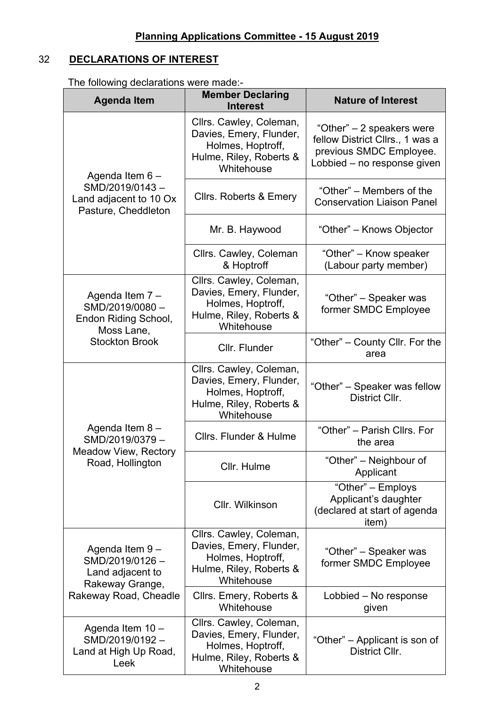### 32 **DECLARATIONS OF INTEREST**

The following declarations were made:-

| <b>Agenda Item</b>                                                      | <b>Member Declaring</b><br><b>Interest</b>                                                                       | <b>Nature of Interest</b>                                                                                              |  |
|-------------------------------------------------------------------------|------------------------------------------------------------------------------------------------------------------|------------------------------------------------------------------------------------------------------------------------|--|
| Agenda Item 6 -                                                         | Cllrs. Cawley, Coleman,<br>Davies, Emery, Flunder,<br>Holmes, Hoptroff,<br>Hulme, Riley, Roberts &<br>Whitehouse | "Other" – 2 speakers were<br>fellow District Cllrs., 1 was a<br>previous SMDC Employee.<br>Lobbied – no response given |  |
| SMD/2019/0143-<br>Land adjacent to 10 Ox<br>Pasture, Cheddleton         | <b>Clirs. Roberts &amp; Emery</b>                                                                                | "Other" – Members of the<br><b>Conservation Liaison Panel</b>                                                          |  |
|                                                                         | Mr. B. Haywood                                                                                                   | "Other" – Knows Objector                                                                                               |  |
|                                                                         | Cllrs. Cawley, Coleman<br>& Hoptroff                                                                             | "Other" - Know speaker<br>(Labour party member)                                                                        |  |
| Agenda Item 7 -<br>SMD/2019/0080-<br>Endon Riding School,<br>Moss Lane, | Cllrs. Cawley, Coleman,<br>Davies, Emery, Flunder,<br>Holmes, Hoptroff,<br>Hulme, Riley, Roberts &<br>Whitehouse | "Other" – Speaker was<br>former SMDC Employee                                                                          |  |
| <b>Stockton Brook</b>                                                   | Cllr. Flunder                                                                                                    | "Other" – County Cllr. For the<br>area                                                                                 |  |
|                                                                         | Cllrs. Cawley, Coleman,<br>Davies, Emery, Flunder,<br>Holmes, Hoptroff,<br>Hulme, Riley, Roberts &<br>Whitehouse | "Other" – Speaker was fellow<br>District Cllr.                                                                         |  |
| Agenda Item 8-<br>SMD/2019/0379-                                        | Cllrs. Flunder & Hulme                                                                                           | "Other" - Parish Cllrs. For<br>the area                                                                                |  |
| Meadow View, Rectory<br>Road, Hollington                                | Cllr. Hulme                                                                                                      | "Other" - Neighbour of<br>Applicant                                                                                    |  |
|                                                                         | Cllr. Wilkinson                                                                                                  | "Other" - Employs<br>Applicant's daughter<br>(declared at start of agenda<br>item)                                     |  |
| Agenda Item 9-<br>SMD/2019/0126-<br>Land adjacent to<br>Rakeway Grange, | Cllrs. Cawley, Coleman,<br>Davies, Emery, Flunder,<br>Holmes, Hoptroff,<br>Hulme, Riley, Roberts &<br>Whitehouse | "Other" – Speaker was<br>former SMDC Employee                                                                          |  |
| Rakeway Road, Cheadle                                                   | Cllrs. Emery, Roberts &<br>Whitehouse                                                                            | Lobbied – No response<br>given                                                                                         |  |
| Agenda Item 10 -<br>SMD/2019/0192-<br>Land at High Up Road,<br>Leek     | Cllrs. Cawley, Coleman,<br>Davies, Emery, Flunder,<br>Holmes, Hoptroff,<br>Hulme, Riley, Roberts &<br>Whitehouse | "Other" – Applicant is son of<br>District Cllr.                                                                        |  |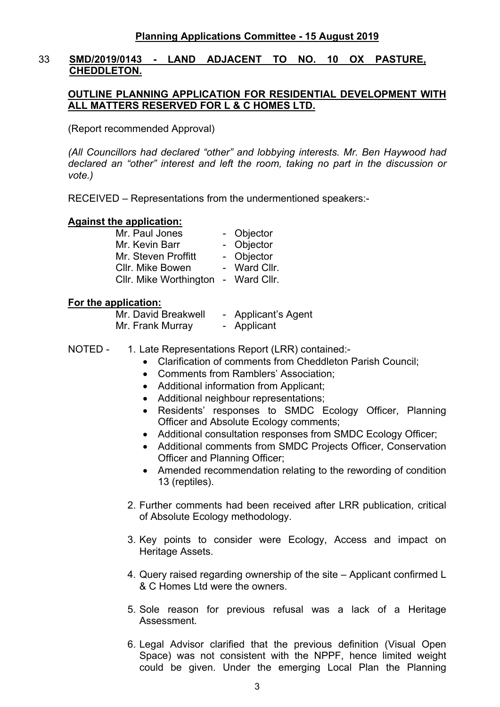#### 33 **SMD/2019/0143 - LAND ADJACENT TO NO. 10 OX PASTURE, CHEDDLETON.**

#### **OUTLINE PLANNING APPLICATION FOR RESIDENTIAL DEVELOPMENT WITH ALL MATTERS RESERVED FOR L & C HOMES LTD.**

(Report recommended Approval)

*(All Councillors had declared "other" and lobbying interests. Mr. Ben Haywood had declared an "other" interest and left the room, taking no part in the discussion or vote.)*

RECEIVED – Representations from the undermentioned speakers:-

#### **Against the application:**

| - Objector   |
|--------------|
| - Objector   |
| - Objector   |
| - Ward Cllr. |
| - Ward Cllr. |
|              |

#### **For the application:**

Mr. David Breakwell - Applicant's Agent Mr. Frank Murray - Applicant

- NOTED 1. Late Representations Report (LRR) contained:-
	- Clarification of comments from Cheddleton Parish Council;
	- Comments from Ramblers' Association;
	- Additional information from Applicant:
	- Additional neighbour representations;
	- Residents' responses to SMDC Ecology Officer, Planning Officer and Absolute Ecology comments;
	- Additional consultation responses from SMDC Ecology Officer;
	- Additional comments from SMDC Projects Officer, Conservation Officer and Planning Officer;
	- Amended recommendation relating to the rewording of condition 13 (reptiles).
	- 2. Further comments had been received after LRR publication, critical of Absolute Ecology methodology.
	- 3. Key points to consider were Ecology, Access and impact on Heritage Assets.
	- 4. Query raised regarding ownership of the site Applicant confirmed L & C Homes Ltd were the owners.
	- 5. Sole reason for previous refusal was a lack of a Heritage Assessment.
	- 6. Legal Advisor clarified that the previous definition (Visual Open Space) was not consistent with the NPPF, hence limited weight could be given. Under the emerging Local Plan the Planning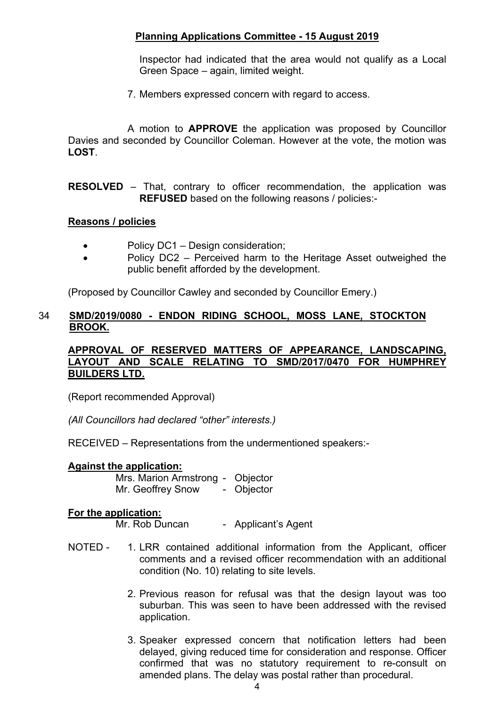Inspector had indicated that the area would not qualify as a Local Green Space – again, limited weight.

7. Members expressed concern with regard to access.

A motion to **APPROVE** the application was proposed by Councillor Davies and seconded by Councillor Coleman. However at the vote, the motion was **LOST**.

**RESOLVED** – That, contrary to officer recommendation, the application was **REFUSED** based on the following reasons / policies:-

#### **Reasons / policies**

- Policy DC1 Design consideration:
- Policy DC2 Perceived harm to the Heritage Asset outweighed the public benefit afforded by the development.

(Proposed by Councillor Cawley and seconded by Councillor Emery.)

#### 34 **SMD/2019/0080 - ENDON RIDING SCHOOL, MOSS LANE, STOCKTON BROOK.**

#### **APPROVAL OF RESERVED MATTERS OF APPEARANCE, LANDSCAPING, LAYOUT AND SCALE RELATING TO SMD/2017/0470 FOR HUMPHREY BUILDERS LTD.**

(Report recommended Approval)

*(All Councillors had declared "other" interests.)*

RECEIVED – Representations from the undermentioned speakers:-

#### **Against the application:**

Mrs. Marion Armstrong - Objector Mr. Geoffrey Snow - Objector

#### **For the application:**

Mr. Rob Duncan - Applicant's Agent

- NOTED 1. LRR contained additional information from the Applicant, officer comments and a revised officer recommendation with an additional condition (No. 10) relating to site levels.
	- 2. Previous reason for refusal was that the design layout was too suburban. This was seen to have been addressed with the revised application.
	- 3. Speaker expressed concern that notification letters had been delayed, giving reduced time for consideration and response. Officer confirmed that was no statutory requirement to re-consult on amended plans. The delay was postal rather than procedural.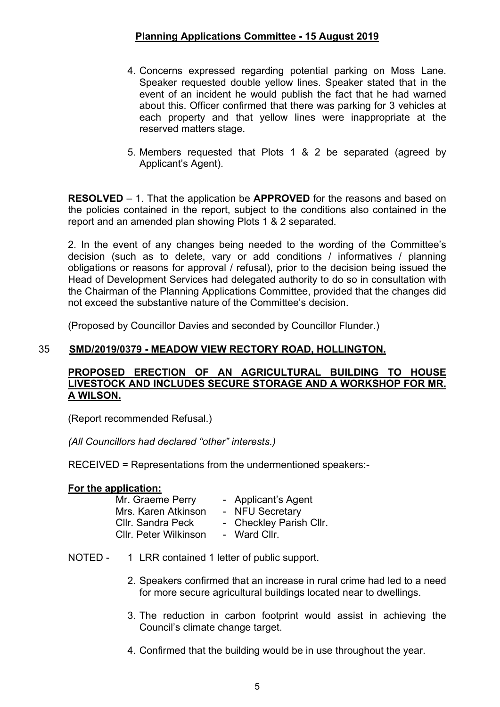- 4. Concerns expressed regarding potential parking on Moss Lane. Speaker requested double yellow lines. Speaker stated that in the event of an incident he would publish the fact that he had warned about this. Officer confirmed that there was parking for 3 vehicles at each property and that yellow lines were inappropriate at the reserved matters stage.
- 5. Members requested that Plots 1 & 2 be separated (agreed by Applicant's Agent).

**RESOLVED** – 1. That the application be **APPROVED** for the reasons and based on the policies contained in the report, subject to the conditions also contained in the report and an amended plan showing Plots 1 & 2 separated.

2. In the event of any changes being needed to the wording of the Committee's decision (such as to delete, vary or add conditions / informatives / planning obligations or reasons for approval / refusal), prior to the decision being issued the Head of Development Services had delegated authority to do so in consultation with the Chairman of the Planning Applications Committee, provided that the changes did not exceed the substantive nature of the Committee's decision.

(Proposed by Councillor Davies and seconded by Councillor Flunder.)

#### 35 **SMD/2019/0379 - MEADOW VIEW RECTORY ROAD, HOLLINGTON.**

#### **PROPOSED ERECTION OF AN AGRICULTURAL BUILDING TO HOUSE LIVESTOCK AND INCLUDES SECURE STORAGE AND A WORKSHOP FOR MR. A WILSON.**

(Report recommended Refusal.)

*(All Councillors had declared "other" interests.)*

RECEIVED = Representations from the undermentioned speakers:-

#### **For the application:**

| Mr. Graeme Perry      | - Applicant's Agent     |
|-----------------------|-------------------------|
| Mrs. Karen Atkinson   | - NFU Secretary         |
| Cllr. Sandra Peck     | - Checkley Parish Cllr. |
| Cllr. Peter Wilkinson | - Ward Cllr.            |

- NOTED 1 LRR contained 1 letter of public support.
	- 2. Speakers confirmed that an increase in rural crime had led to a need for more secure agricultural buildings located near to dwellings.
	- 3. The reduction in carbon footprint would assist in achieving the Council's climate change target.
	- 4. Confirmed that the building would be in use throughout the year.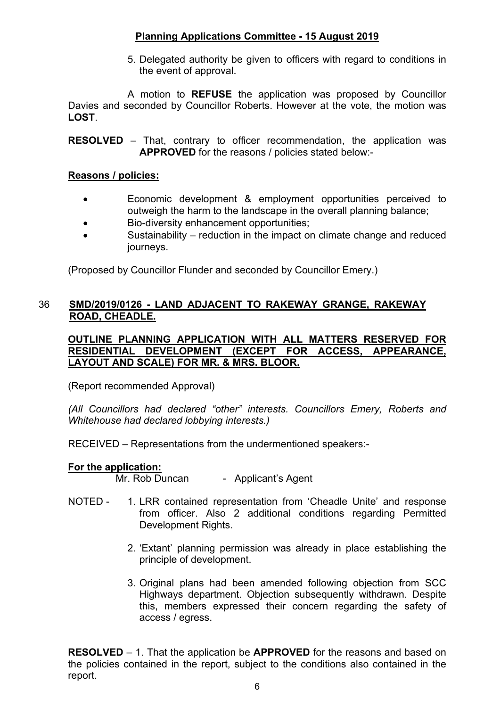5. Delegated authority be given to officers with regard to conditions in the event of approval.

A motion to **REFUSE** the application was proposed by Councillor Davies and seconded by Councillor Roberts. However at the vote, the motion was **LOST**.

**RESOLVED** – That, contrary to officer recommendation, the application was **APPROVED** for the reasons / policies stated below:-

#### **Reasons / policies:**

- Economic development & employment opportunities perceived to outweigh the harm to the landscape in the overall planning balance;
- Bio-diversity enhancement opportunities;
- Sustainability reduction in the impact on climate change and reduced journeys.

(Proposed by Councillor Flunder and seconded by Councillor Emery.)

#### 36 **SMD/2019/0126 - LAND ADJACENT TO RAKEWAY GRANGE, RAKEWAY ROAD, CHEADLE.**

**OUTLINE PLANNING APPLICATION WITH ALL MATTERS RESERVED FOR RESIDENTIAL DEVELOPMENT (EXCEPT FOR ACCESS, APPEARANCE, LAYOUT AND SCALE) FOR MR. & MRS. BLOOR.**

(Report recommended Approval)

*(All Councillors had declared "other" interests. Councillors Emery, Roberts and Whitehouse had declared lobbying interests.)*

RECEIVED – Representations from the undermentioned speakers:-

#### **For the application:**

Mr. Rob Duncan - Applicant's Agent

- NOTED 1. LRR contained representation from 'Cheadle Unite' and response from officer. Also 2 additional conditions regarding Permitted Development Rights.
	- 2. 'Extant' planning permission was already in place establishing the principle of development.
	- 3. Original plans had been amended following objection from SCC Highways department. Objection subsequently withdrawn. Despite this, members expressed their concern regarding the safety of access / egress.

**RESOLVED** – 1. That the application be **APPROVED** for the reasons and based on the policies contained in the report, subject to the conditions also contained in the report.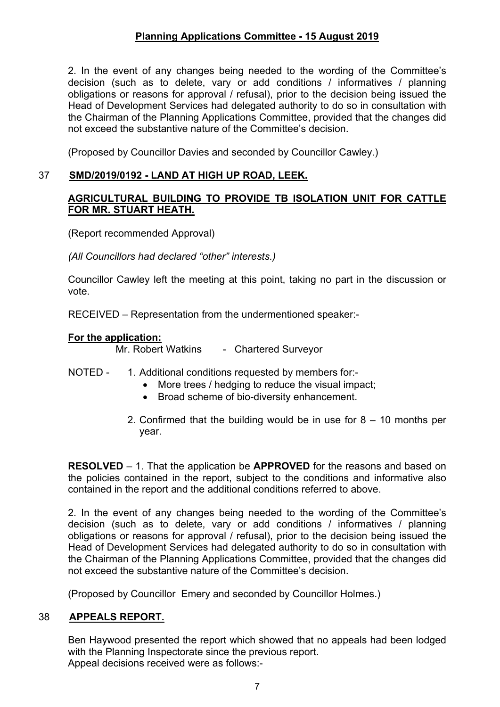2. In the event of any changes being needed to the wording of the Committee's decision (such as to delete, vary or add conditions / informatives / planning obligations or reasons for approval / refusal), prior to the decision being issued the Head of Development Services had delegated authority to do so in consultation with the Chairman of the Planning Applications Committee, provided that the changes did not exceed the substantive nature of the Committee's decision.

(Proposed by Councillor Davies and seconded by Councillor Cawley.)

#### 37 **SMD/2019/0192 - LAND AT HIGH UP ROAD, LEEK.**

#### **AGRICULTURAL BUILDING TO PROVIDE TB ISOLATION UNIT FOR CATTLE FOR MR. STUART HEATH.**

(Report recommended Approval)

*(All Councillors had declared "other" interests.)*

Councillor Cawley left the meeting at this point, taking no part in the discussion or vote.

RECEIVED – Representation from the undermentioned speaker:-

#### **For the application:**

Mr. Robert Watkins - Chartered Surveyor

- NOTED 1. Additional conditions requested by members for:-
	- More trees / hedging to reduce the visual impact:
	- Broad scheme of bio-diversity enhancement.
	- 2. Confirmed that the building would be in use for  $8 10$  months per year.

**RESOLVED** – 1. That the application be **APPROVED** for the reasons and based on the policies contained in the report, subject to the conditions and informative also contained in the report and the additional conditions referred to above.

2. In the event of any changes being needed to the wording of the Committee's decision (such as to delete, vary or add conditions / informatives / planning obligations or reasons for approval / refusal), prior to the decision being issued the Head of Development Services had delegated authority to do so in consultation with the Chairman of the Planning Applications Committee, provided that the changes did not exceed the substantive nature of the Committee's decision.

(Proposed by Councillor Emery and seconded by Councillor Holmes.)

#### 38 **APPEALS REPORT.**

Ben Haywood presented the report which showed that no appeals had been lodged with the Planning Inspectorate since the previous report. Appeal decisions received were as follows:-